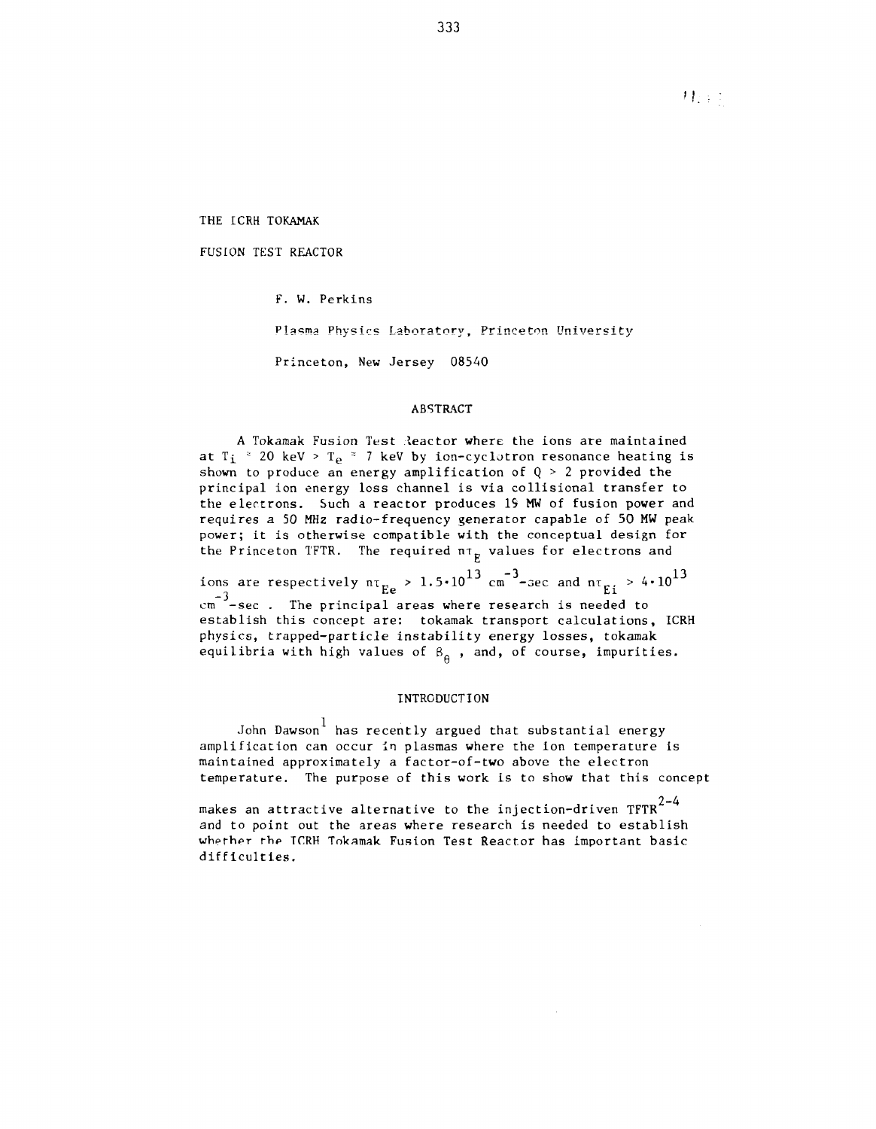材料工

THE ICRH TOKAMAK

FUSION TEST REACTOR

F. W. Perkins

Plasma Physics Laboratory, Princeton University

Princeton, New Jersey 08540

## ABSTRACT

A Tokamak Fusion Test leactor where the ions are maintained at T $_{\rm i}$  \* 20 keV > T $_{\rm e}$  \* 7 keV by ion-cyclotron resonance heating is shown to produce an energy amplification of  $\mathtt{Q}\,$   $\geqslant\,$  2 provided the principal ion energy loss channel is via collisional transfer to the electrons. Such a reactor produces 19 MW of fusion power and requires a 50 MHz radio-frequency generator capable of 50 MW peak power; it is otherwise compatible with the conceptual design for the Princeton TFTR. The required  $n \tau_{\rm g}$  values for electrons and

ions are respectively  $n_{\text{E}_e} > 1.5 \cdot 10^{13} \text{ cm}^{-3}$ -sec and  $n_{\text{E}_i} > 4 \cdot 10^{13}$ em<sup>-3</sup>-sec. The principal areas where research is needed to establish this concept are: tokamak transport calculations, ICRH physics, trapped-particle instability energy losses, tokamak equilibria with high values of  $\beta_{\alpha}$ , and, of course, impurities.

## INTRODUCTION

John Dawson<sup>1</sup> has recently argued that substantial energy amplification can occur in plasmas where the ion temperature is maintained approximately a factor-of-two above the electron temperature. The purpose of this work is to show that this concept

makes an attractive alternative to the injection-driven  $TFR^{2-4}$ and to point out the areas where research is needed to establish whether the TCRH Tokamak Fusion Test Reactor has important basic difficulties.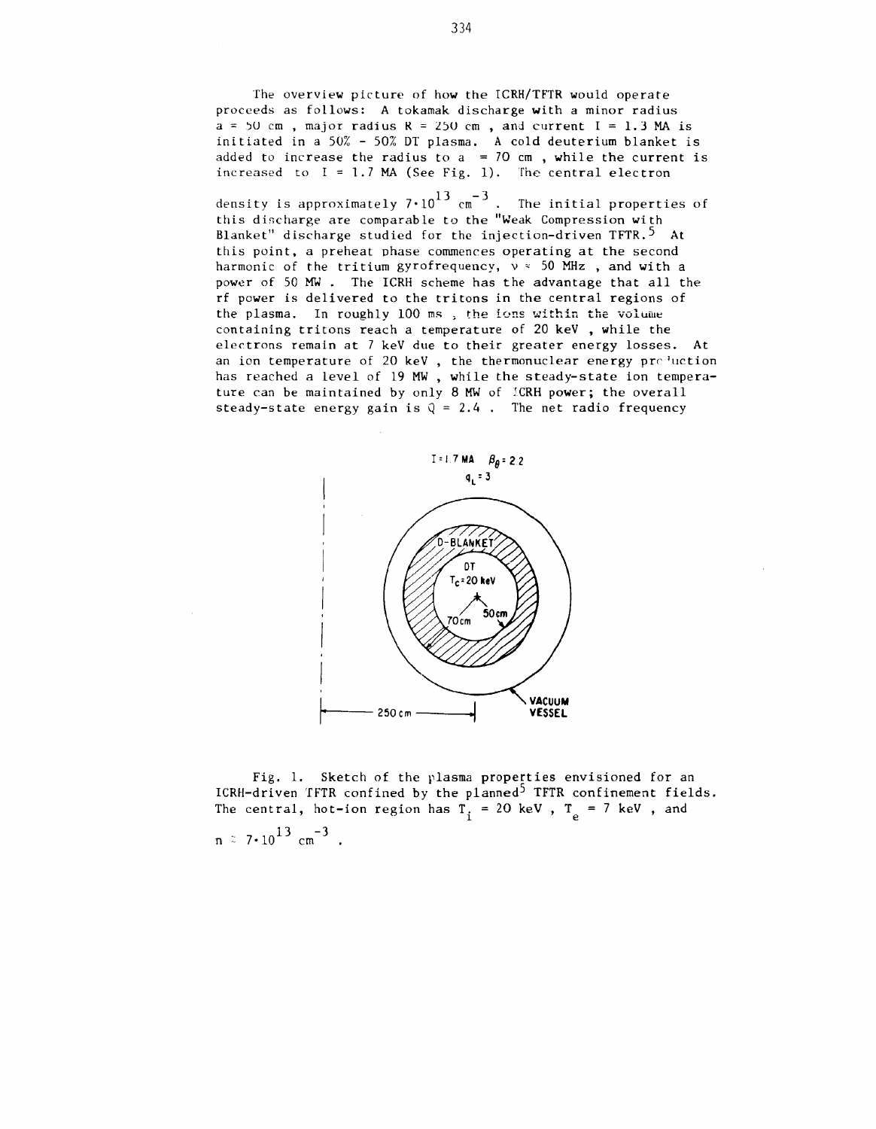The overview picture of how the ICRH/TFTR would operate proceeds as follows: A tokamak discharge with a minor radius  $a = 50$  cm, major radius  $R = 250$  cm, and current  $I = 1.3$  MA is initiated in a 50% - 50% DT plasma. A cold deuterium blanket is added to increase the radius to  $a = 70$  cm, while the current is increased to  $I = 1.7$  MA (See Fig. 1). The central electron

density is approximately 7 $\cdot$ 10 $^{13}$  cm $^{-3}$  . The initial properties of this discharge are comparable to the "Weak Compression with Blanket" discharge studied for the injection-driven TFTR.<sup>5</sup> At this point, a preheat phase commences operating at the second harmonic of the tritium gyrofrequency,  $v \approx 50$  MHz, and with a power of 50 MW . The ICRH scheme has the advantage that all the rf power is delivered to the tritons in the central regions of the plasma. In roughly 100 ms, the ions within the volume containing tritons reach a temperature of 20 keV , while the electrons remain at 7 keV due to their greater energy losses. At an ion temperature of 20 keV, the thermonuclear energy pre<sup>q</sup>uction has reached a level of 19 MW , while the steady-state ion temperature can be maintained by only 8 MW of ICRH power; the overall steady-state energy gain is  $Q = 2.4$ . The net radio frequency



Fig. 1. Sketch of the plasma properties envisioned for an ICRH-driven TFTR confined by the planned<sup>5</sup> TFTR confinement fields. The central, hot-ion region has  $T_i = 20$  keV,  $T_p = 7$  keV, and

 $n \approx 7 \cdot 10^{13}$  cm<sup>-3</sup>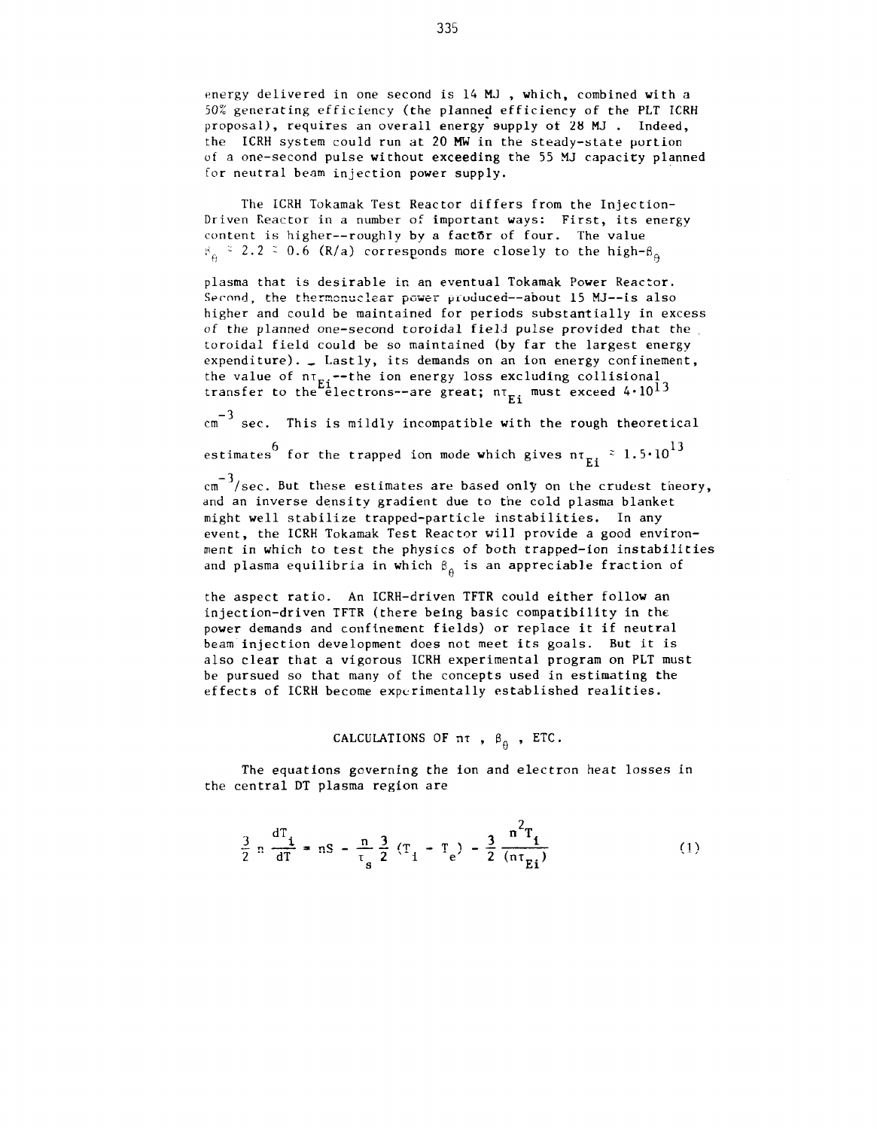energy delivered in one second is 14 MJ, which, combined with a 50% generating efficiency (the planned efficiency of the PLT ICRH proposal), requires an overall energy supply of 28 MJ. Indeed, the ICRH system could run at 20 MW in the steady-state portion of a one-second pulse without exceeding the 55 MJ capacity planned for neutral beam injection power supply.

The ICRH Tokamak Test Reactor differs from the Injection-Driven Reactor in a number of important ways: First, its energy content is higher--roughly by a factor of four. The value  $\beta_{\alpha}$  = 2.2 = 0.6 (R/a) corresponds more closely to the high- $\beta_{\alpha}$ 

plasma that is desirable in an eventual Tokamak Power Reactor. Second, the thermonuclear power produced--about 15 MJ--is also higher and could be maintained for periods substantially in excess of the planned one-second toroidal field pulse provided that the toroidal field could be so maintained (by far the largest energy expenditure).  $\Box$  Lastly, its demands on an ion energy confinement, the value of  $n_{\text{rel}}$ -the ion energy loss excluding collisional transfer to the electrons--are great;  $n_{\rm m}$ , must exceed  $4 \cdot 10^{13}$ 

 $\epsilon$ <sup>-3</sup> sec. This is mildly incompatible with the rough theoretical  $\frac{13}{2}$ estimates for the trapped ion mode which gives  $\texttt{nt}_{\texttt{Ei}} \sim \texttt{1.5*iv}$ 

 $\frac{3}{2}$ and an inverse density gradient due to the cold plasma blanket might well stabilize trapped-particle instabilities. In any event, the ICRH Tokamak Test Reactor will provide a good environment in which to test the physics of both trapped-ion instabilities and plasma equilibria in which  $\beta$  is an appreciable fraction of and plasma equilibria in which  $\theta$  is an appropriate fraction of  $\theta$ 

the aspect ratio. An ICRH-driven TFTR could either follow an injection-driven TFTR (there being basic compatibility in the power demands and confinement fields) or replace it if neutral beam injection development does not meet its goals. But it is also clear that a vigorous ICRH experimental program on PLT must be pursued so that many of the concepts used in estimating the effects of ICRH become experimentally established realities.

# CALCULATIONS OF  $n\tau$ ,  $\beta_{\theta}$ , ETC.

The equations governing the ion and electron heat losses in the central DT plasma region are

$$
\frac{3}{2} \cdot n \frac{dT_1}{dT} = nS - \frac{n}{T_e} \frac{3}{2} (T_1 - T_e) - \frac{3}{2} \frac{n^2 T_1}{(n T_{F_1})}
$$
 (1)

**S £iX**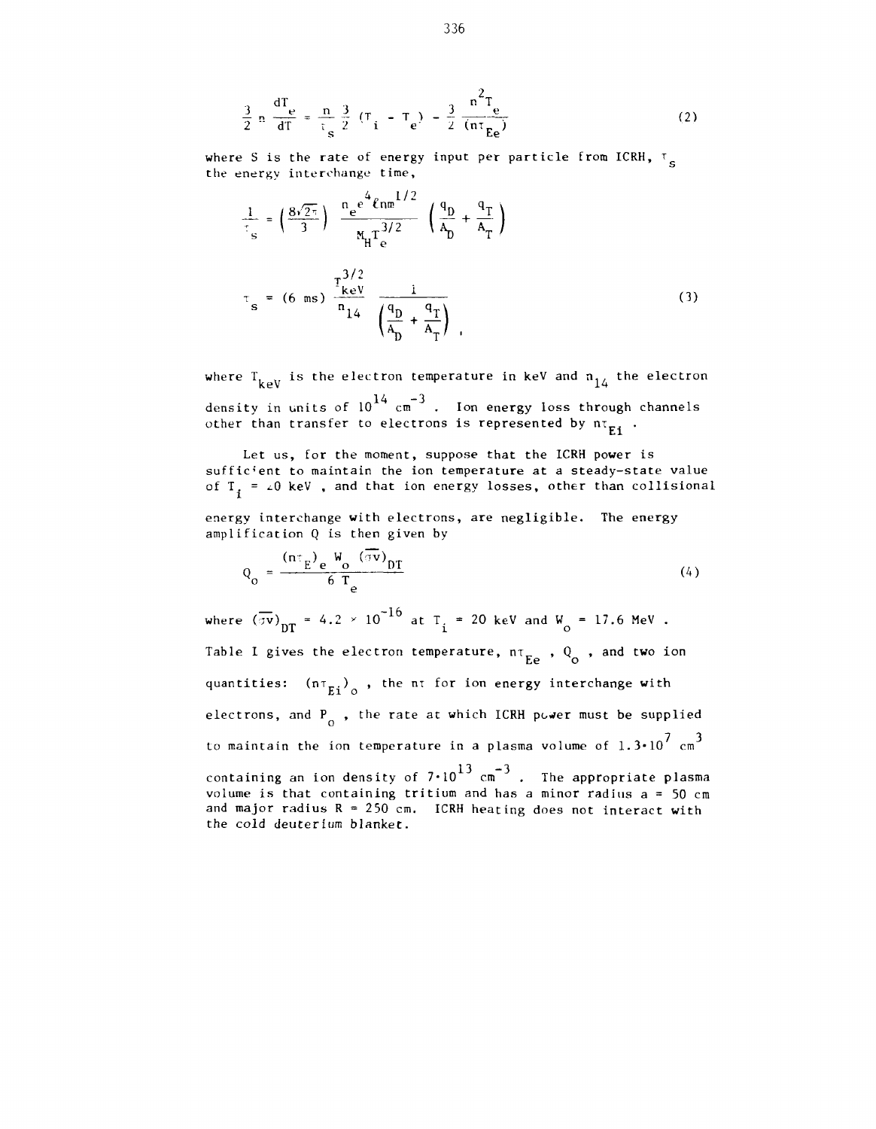$$
\frac{3}{2} n \frac{dT}{dT} = \frac{n}{\tau_s} \frac{3}{2} (T_i - T_e) - \frac{3}{2} \frac{n^2 T_e}{(n \tau_{Ee})}
$$
 (2)

where S is the rate of energy input per particle from ICRH,  $\tau_{\rm g}$ the energy interchange time,

$$
\frac{1}{T_s} = \left(\frac{8\sqrt{2\pi}}{3}\right) \frac{n_e^{2\frac{4}{\pi} \ln m} \ln \frac{1}{2}}{M_H T_e^{3/2}} \left(\frac{q_D}{A_D} + \frac{q_T}{A_T}\right)
$$
\n
$$
T_s = (6 \text{ ms}) \frac{T_{keV}^{3/2}}{n_{14}} \frac{1}{\left(\frac{q_D}{A_D} + \frac{q_T}{A_T}\right)} \tag{3}
$$

where  $T_{k\dots V}$  is the electron temperature in keV and  $n_{14}$  the electron density in units of  $10^{14}$   $\text{cm}^{-3}$  . Ion energy loss through channels other than transfer to electrons is represented by  $n\tau_{F1}$ .

Let us, for the moment, suppose that the ICRH power is sufficient to maintain the ion temperature at a steady-state value of  $T_i = \angle 0$  keV, and that ion energy losses, other than collisional

energy interchange with electrons, are negligible. The energy amplification Q is then given by

$$
Q_0 = \frac{(n \tau_E) e^{-W_0} (\sigma v)_{DT}}{6 T_e}
$$
 (4)

where  $(\sigma v)_{\text{DT}} = 4.2 \times 10^{-10}$  at T<sub>i</sub> = 20 keV and W<sub>o</sub> = 17.6 MeV. Table I gives the electron temperature,  $n_{E_P}$ ,  $Q_{\overline{O}}$ , and two ion Ee o quantities:  $(n\tau_{Ei})$  , the  $n\tau$  for ion energy interchange with electrons, and  $P_0$ , the rate at which ICRH power must be supplied to maintain the ion temperature in a plasma volume of  $1.3 \cdot 10^7$  cm<sup>3</sup> containing an ion density of  $7 \cdot 10^{13}$  cm<sup>-3</sup>. The appropriate plasma volume is that containing tritium and has a minor radius  $a = 50$  cm and major radius  $R = 250$  cm. ICRH heating does not interact with the cold deuterium blanket.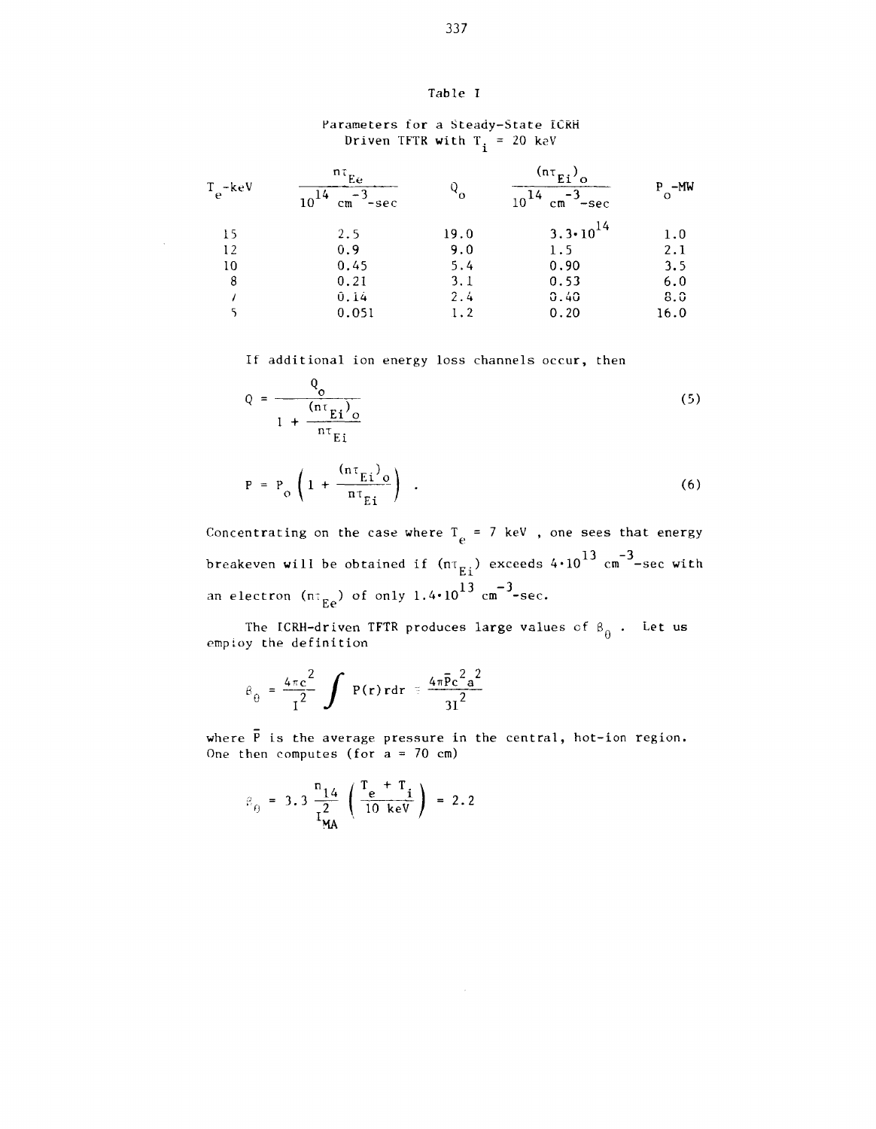## Table I

## Parameters for a Steady-State ICKH Driven TFTR **w**ith T<sub>;</sub> = 20 keV  $\ddot{\phantom{1}}$

| $T_e$ -keV | nτ<br>Ëe<br>10<br>$-sec$<br>cm | $\mathcal{Q}_{\mathbf{0}}$ | $\frac{\ln \tau}{\ln \tau}$<br>Ω<br>$-sec$<br>cm | $P - MW$ |
|------------|--------------------------------|----------------------------|--------------------------------------------------|----------|
| 15         | 2.5                            | 19.0                       | $3.3 \cdot 10^{14}$                              | 1.0      |
| 12         | 0.9                            | 9.0                        | 1.5                                              | 2.1      |
| 10         | 0.45                           | 5.4                        | 0.90                                             | 3.5      |
| 8          | 0.21                           | 3.1                        | 0.53                                             | 6.0      |
|            | 0.14                           | 2.4                        | 0.40                                             | 8.0      |
|            | 0.051                          | 1.2                        | 0.20                                             | 16.0     |

If additional ion energy loss channels occur, then

$$
Q = \frac{Q_{\text{o}}}{1 + \frac{(n\tau_{\text{E}i})_{\text{o}}}{n\tau_{\text{E}i}}}
$$
(5)

$$
P = P_o \left( 1 + \frac{(n \tau_{Ei})_o}{n \tau_{Ei}} \right) \quad . \tag{6}
$$

Concentrating on the case where  $T_e = 7$  keV, one sees that energy breakeven will be obtained if  $(n_{E_i})$  exceeds  $4 \cdot 10^{13}$  cm<sup>-3</sup>-sec with an electron (nt $_{\rm Ee}$ ) of only 1.4\*10 $^{13}$  cm $^{-3}$ -sec.

The ICRH-driven TFTR produces large values of  $\beta_{\hat{H}}$ . Let us employ the definition

$$
\beta_{\theta} = \frac{4\pi c^2}{I^2} \int P(r) r dr = \frac{4\pi \bar{P} c^2 a^2}{3I^2}
$$

where  $\overline{P}$  is the average pressure in the central, hot-ion region. One then computes (for  $a = 70$  cm)

 $\sim$ 

$$
\beta_{\theta} = 3.3 \frac{n_{14}}{I_{\text{MA}}^2} \left( \frac{T_e + T_i}{10 \text{ keV}} \right) = 2.2
$$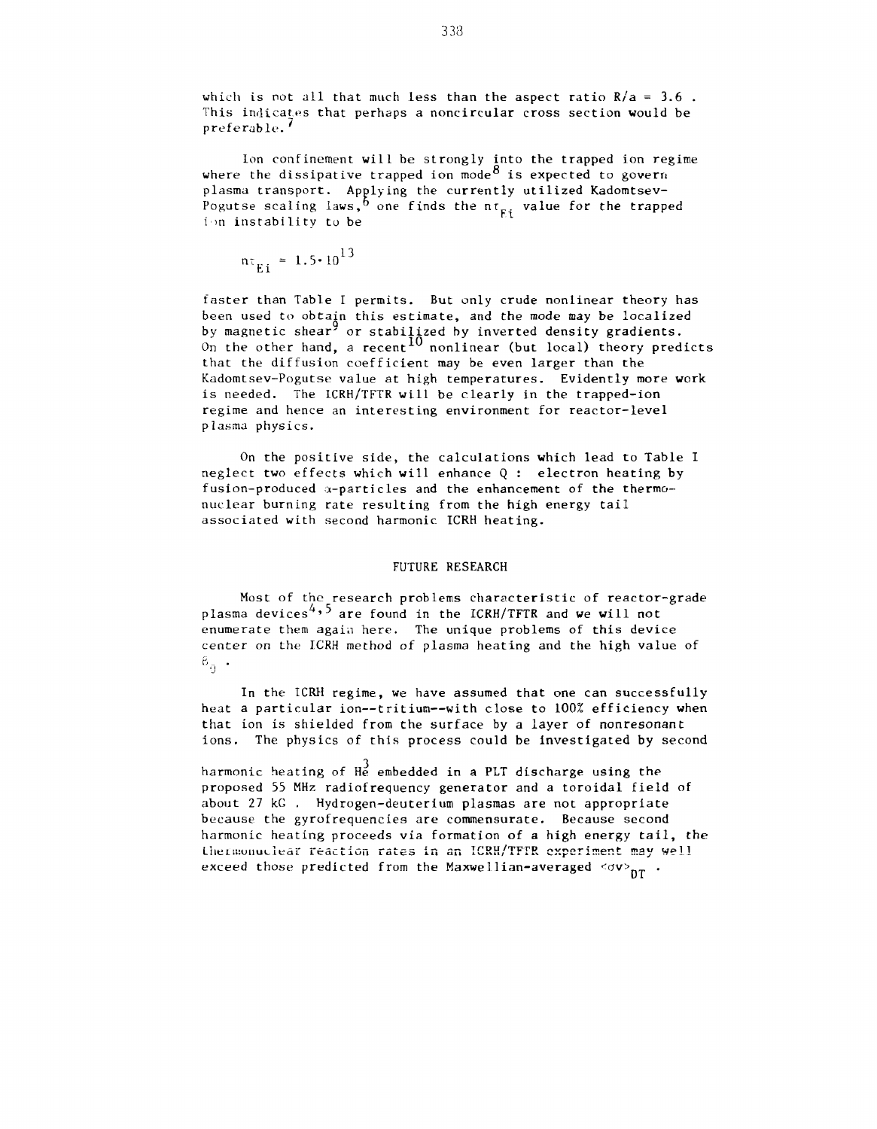which is not all that much less than the aspect ratio  $R/a = 3.6$ . This indicates that perhaps a noncircular cross section would be preferable.'

Ion confinement will be strongly into the trapped ion regime where the dissipative trapped ion mode  $8$  is expected to govern plasma transport. Applying the currently utilized Kadomtsev-Problem transport of  $\frac{1}{2}$  one finds the nr<sub>Fi</sub> value for the trapped ion instability to be

$$
n\tau_{E1} = 1.5 \cdot 10^{13}
$$

faster than Table I permits. But only crude nonlinear theory has been used to obtain this estimate, and the mode may be localized by magnetic shear' or stabilized by inverted density gradients. On the other hand, a recent  $10$  nonlinear (but local) theory predicts that the diffusion coefficient may be even larger than the Kadomtsev-Pogutse value at high temperatures. Evidently more work is needed. The ICRH/TFTR will be clearly in the trapped-ion regime and hence an interesting environment for reactor-level plasma physics.

On the positive side, the calculations which lead to Table I neglect two effects which will enhance Q : electron heating by fusion-produced a-particles and the enhancement of the thermonuclear burning rate resulting from the high energy tail associated with second harmonic ICRH heating.

#### FUTURE RESEARCH

Most of the research problems characteristic of reactor-grade plasma devices<sup>4,3</sup> are found in the ICRH/TFTR and we will not enumerate them again here. The unique problems of this device center on the ICRH method of plasma heating and the high value of  $^6\rm_9$  .

In the ICRH regime, we have assumed that one can successfully heat a particular ion--tritium--with close to 100% efficiency when that ion is shielded from the surface by a layer of nonresonant ions. The physics of this process could be investigated by second

harmonic heating of  $\rm{H_{2}^3}$  embedded in a PLT discharge using the proposed 55 MHz radiofrequency generator and a toroidal field of about 27 kG . Hydrogen-deuterium plasmas are not appropriate because the gyrofrequencies are commensurate. Because second harmonic heating proceeds via formation of a high energy tail, the Lhermonuclear reaction rates in an ICRH/TFTR experiment may well exceed those predicted from the Maxwellian-averaged  $\langle \sigma v \rangle_{\text{DT}}$  .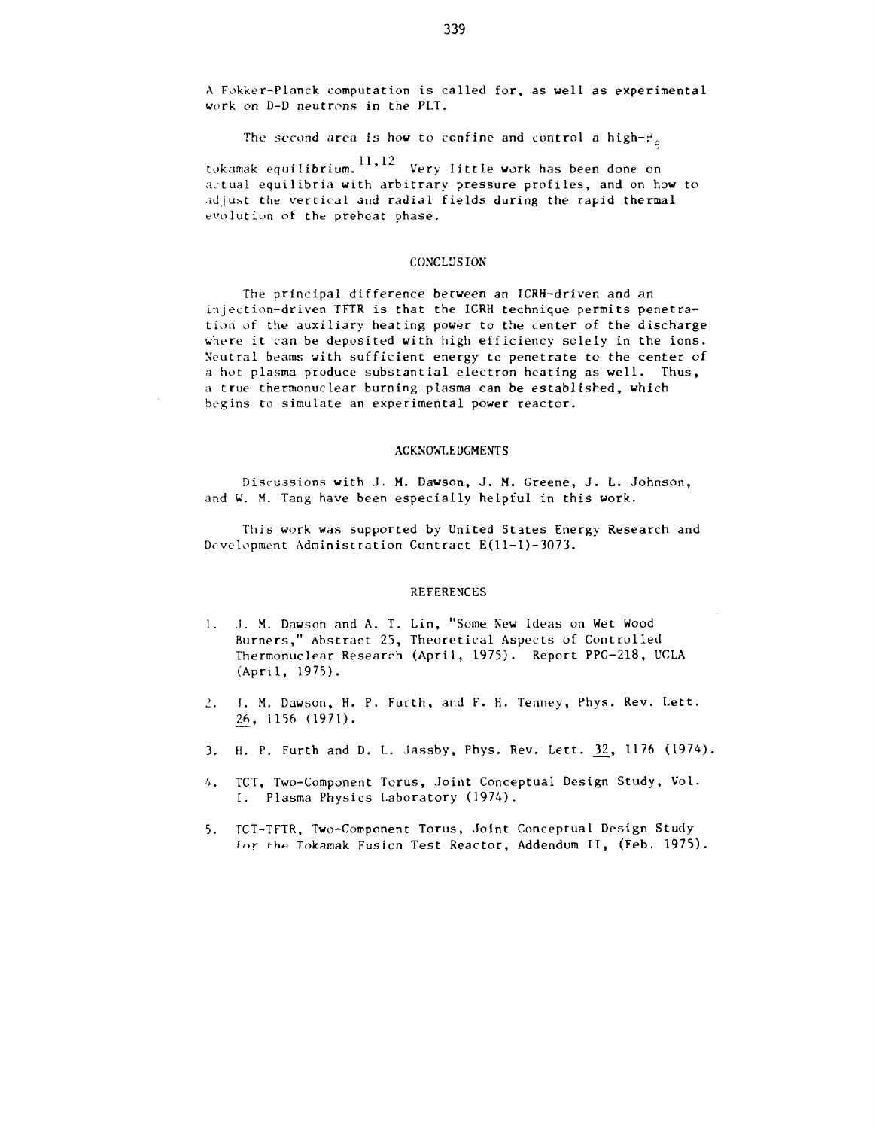A Fokker-Planck computation is called for, as well as experimental work on D-D neutrons in the PLT.

The second area is how to confine and control a high- $\beta_a$ 

tokamak equilibrium.  $^{11,12}$  Very little work has been done on actual equilibria with arbitrary pressure profiles, and on how to adjust the vertical and radial fields during the rapid thermal evolution of the preheat phase.

## CONCLUSION

The principal difference between an ICRH-driven and an injection-driven TFTR is that the ICRH technique permits penetration of the auxiliary heating power to the center of the discharge where it can be deposited with high efficiency solely in the ions. Neutral beams with sufficient energy to penetrate to the center of a hot plasma produce substantial electron heating as well. Thus, a true thermonuclear burning plasma can be established, which begins to simulate an experimental power reactor.

#### ACKNOWLEDGMENTS

Discussions with J. M. Dawson, J. M. Greene, J. L. Johnson, and W. M. Tang have been especially helpful in this work.

This work was supported by United States Energy Research and Development Administration Contract E(ll-l)-3073.

### REFERENCES

- L. I. M. Dawson and A. T. Lin, "Some New Ideas on Wet Wood Burners," Abstract 25, Theoretical Aspects of Controlled Thermonuclear Research (April, 1975). Report PPG-218, UCLA (April, 1975).
- *1.* I. M. Dawson, H. P. Furth, and F. H. Tenney, Phys. Rev. Lett. 26, 1156 (1971).
- 3. H. P. Furth and D. L. Jassby, Phys. Rev. Lett. 32, 1176 (1974).
- 4. TCT, Two-Component Torus, Joint Conceptual Design Study, Vol. I. Plasma Physics Laboratory (1974).
- 5. TCT-TFTR, Two-Component Torus, Joint Conceptual Design Study *fnr the* Tokamak Fusion Test Reactor, Addendum II, (Feb. 1975).